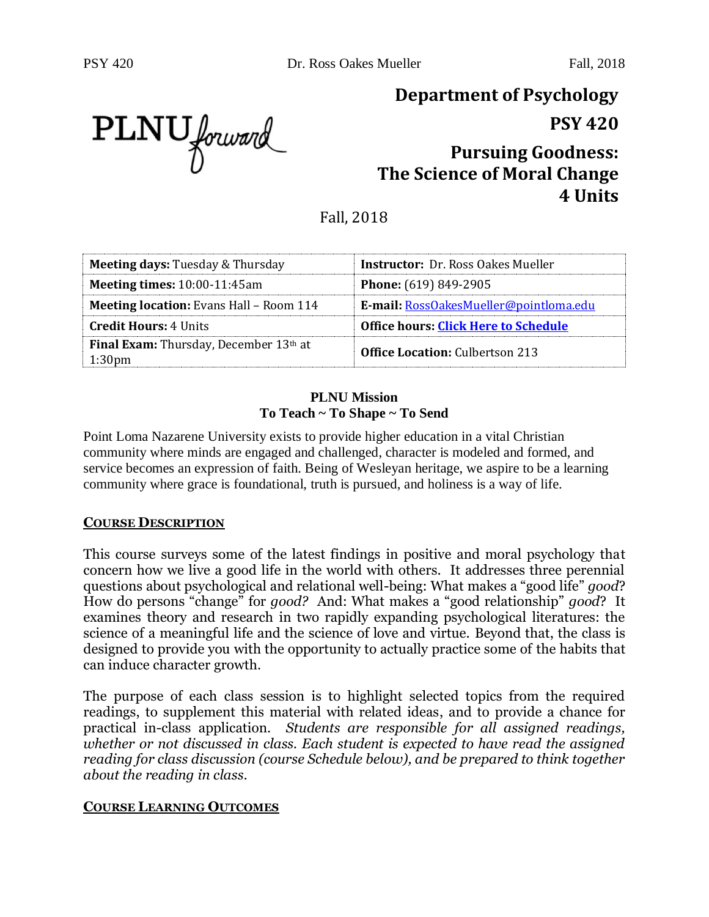PLNU forward

# **Department of Psychology**

**PSY 420**

## **Pursuing Goodness: The Science of Moral Change 4 Units**

Fall, 2018

| <b>Meeting days: Tuesday &amp; Thursday</b>                         | <b>Instructor:</b> Dr. Ross Oakes Mueller   |
|---------------------------------------------------------------------|---------------------------------------------|
| <b>Meeting times: 10:00-11:45am</b>                                 | <b>Phone:</b> (619) 849-2905                |
| <b>Meeting location:</b> Evans Hall – Room 114                      | E-mail: RossOakesMueller@pointloma.edu      |
| <b>Credit Hours: 4 Units</b>                                        | <b>Office hours: Click Here to Schedule</b> |
| <b>Final Exam:</b> Thursday, December 13th at<br>1:30 <sub>pm</sub> | <b>Office Location: Culbertson 213</b>      |

#### **PLNU Mission To Teach ~ To Shape ~ To Send**

Point Loma Nazarene University exists to provide higher education in a vital Christian community where minds are engaged and challenged, character is modeled and formed, and service becomes an expression of faith. Being of Wesleyan heritage, we aspire to be a learning community where grace is foundational, truth is pursued, and holiness is a way of life.

#### **COURSE DESCRIPTION**

This course surveys some of the latest findings in positive and moral psychology that concern how we live a good life in the world with others. It addresses three perennial questions about psychological and relational well-being: What makes a "good life" *good*? How do persons "change" for *good?* And: What makes a "good relationship" *good*? It examines theory and research in two rapidly expanding psychological literatures: the science of a meaningful life and the science of love and virtue. Beyond that, the class is designed to provide you with the opportunity to actually practice some of the habits that can induce character growth.

The purpose of each class session is to highlight selected topics from the required readings, to supplement this material with related ideas, and to provide a chance for practical in-class application. *Students are responsible for all assigned readings, whether or not discussed in class. Each student is expected to have read the assigned reading for class discussion (course Schedule below), and be prepared to think together about the reading in class.*

#### **COURSE LEARNING OUTCOMES**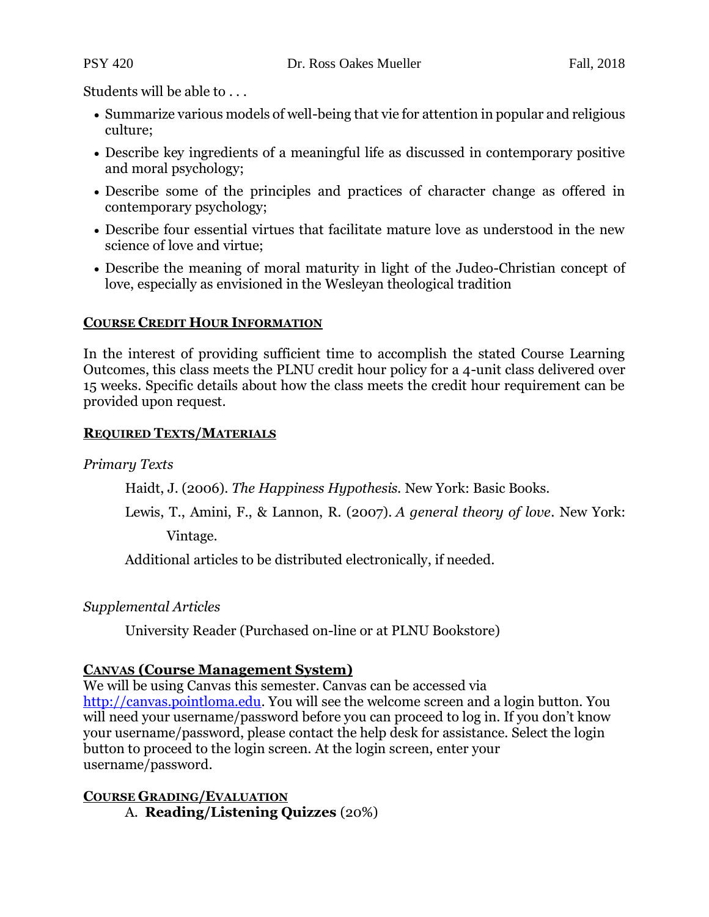Students will be able to . . .

- Summarize various models of well-being that vie for attention in popular and religious culture;
- Describe key ingredients of a meaningful life as discussed in contemporary positive and moral psychology;
- Describe some of the principles and practices of character change as offered in contemporary psychology;
- Describe four essential virtues that facilitate mature love as understood in the new science of love and virtue;
- Describe the meaning of moral maturity in light of the Judeo-Christian concept of love, especially as envisioned in the Wesleyan theological tradition

#### **COURSE CREDIT HOUR INFORMATION**

In the interest of providing sufficient time to accomplish the stated Course Learning Outcomes, this class meets the PLNU credit hour policy for a 4-unit class delivered over 15 weeks. Specific details about how the class meets the credit hour requirement can be provided upon request.

#### **REQUIRED TEXTS/MATERIALS**

*Primary Texts*

Haidt, J. (2006). *The Happiness Hypothesis.* New York: Basic Books.

Lewis, T., Amini, F., & Lannon, R. (2007). *A general theory of love*. New York:

Vintage.

Additional articles to be distributed electronically, if needed.

*Supplemental Articles*

University Reader (Purchased on-line or at PLNU Bookstore)

#### **CANVAS (Course Management System)**

We will be using Canvas this semester. Canvas can be accessed via [http://canvas.pointloma.edu.](http://canvas.pointloma.edu/) You will see the welcome screen and a login button. You will need your username/password before you can proceed to log in. If you don't know your username/password, please contact the help desk for assistance. Select the login button to proceed to the login screen. At the login screen, enter your username/password.

**COURSE GRADING/EVALUATION** A. **Reading/Listening Quizzes** (20%)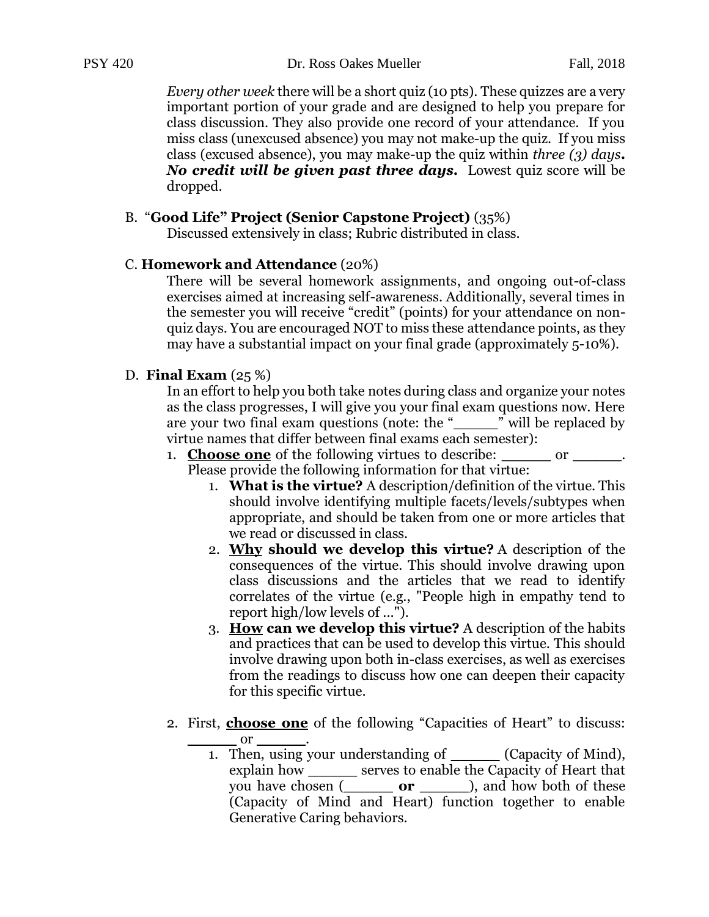PSY 420 Dr. Ross Oakes Mueller Fall, 2018

*Every other week* there will be a short quiz (10 pts). These quizzes are a very important portion of your grade and are designed to help you prepare for class discussion. They also provide one record of your attendance. If you miss class (unexcused absence) you may not make-up the quiz. If you miss class (excused absence), you may make-up the quiz within *three (3) days. No credit will be given past three days.* Lowest quiz score will be dropped.

#### B. "**Good Life" Project (Senior Capstone Project)** (35%)

Discussed extensively in class; Rubric distributed in class.

#### C. **Homework and Attendance** (20%)

There will be several homework assignments, and ongoing out-of-class exercises aimed at increasing self-awareness. Additionally, several times in the semester you will receive "credit" (points) for your attendance on nonquiz days. You are encouraged NOT to miss these attendance points, as they may have a substantial impact on your final grade (approximately 5-10%).

#### D. **Final Exam** (25 %)

In an effort to help you both take notes during class and organize your notes as the class progresses, I will give you your final exam questions now. Here are your two final exam questions (note: the " $\ddot{\text{w}}$  will be replaced by virtue names that differ between final exams each semester):

- 1. **Choose one** of the following virtues to describe: **\_\_\_\_\_** or **\_\_\_\_\_**. Please provide the following information for that virtue:
	- 1. **What is the virtue?** A description/definition of the virtue. This should involve identifying multiple facets/levels/subtypes when appropriate, and should be taken from one or more articles that we read or discussed in class.
	- 2. **Why should we develop this virtue?** A description of the consequences of the virtue. This should involve drawing upon class discussions and the articles that we read to identify correlates of the virtue (e.g., "People high in empathy tend to report high/low levels of ...").
	- 3. **How can we develop this virtue?** A description of the habits and practices that can be used to develop this virtue. This should involve drawing upon both in-class exercises, as well as exercises from the readings to discuss how one can deepen their capacity for this specific virtue.
- 2. First, **choose one** of the following "Capacities of Heart" to discuss: **\_\_\_\_\_** or **\_\_\_\_\_**.
	- 1. Then, using your understanding of **\_\_\_\_\_** (Capacity of Mind), explain how **\_\_\_\_\_** serves to enable the Capacity of Heart that you have chosen (**\_\_\_\_\_ or \_\_\_\_\_**), and how both of these (Capacity of Mind and Heart) function together to enable Generative Caring behaviors.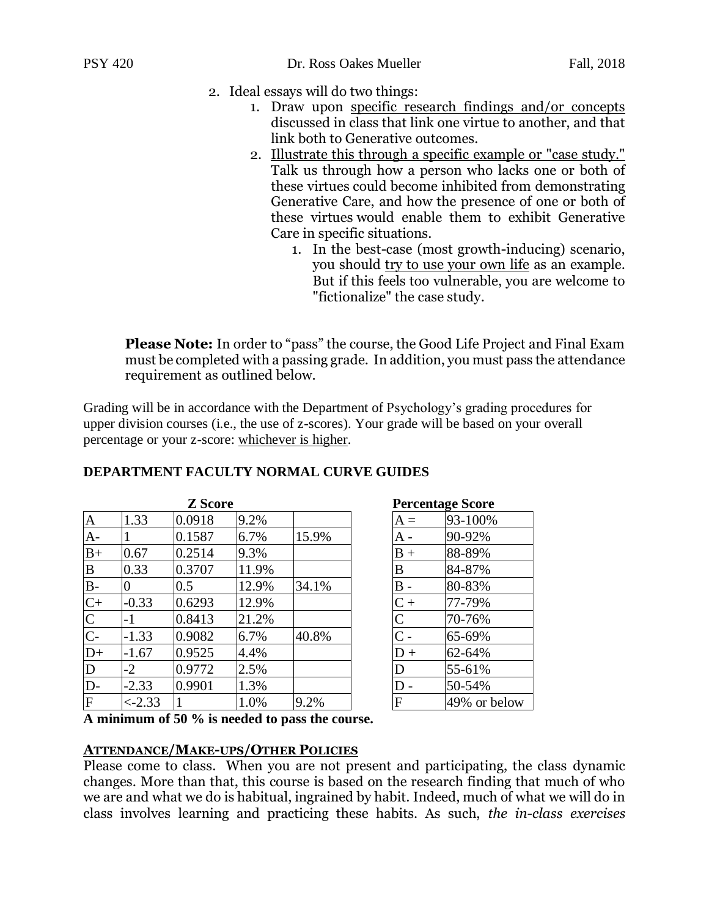- 2. Ideal essays will do two things:
	- 1. Draw upon specific research findings and/or concepts discussed in class that link one virtue to another, and that link both to Generative outcomes.
	- 2. Illustrate this through a specific example or "case study." Talk us through how a person who lacks one or both of these virtues could become inhibited from demonstrating Generative Care, and how the presence of one or both of these virtues would enable them to exhibit Generative Care in specific situations.
		- 1. In the best-case (most growth-inducing) scenario, you should try to use your own life as an example. But if this feels too vulnerable, you are welcome to "fictionalize" the case study.

**Please Note:** In order to "pass" the course, the Good Life Project and Final Exam must be completed with a passing grade. In addition, you must pass the attendance requirement as outlined below.

Grading will be in accordance with the Department of Psychology's grading procedures for upper division courses (i.e., the use of z-scores). Your grade will be based on your overall percentage or your z-score: whichever is higher.

|                         |          | <b>Z</b> Score |       | <b>Percentage Score</b> |                   |              |
|-------------------------|----------|----------------|-------|-------------------------|-------------------|--------------|
| $\overline{A}$          | 1.33     | 0.0918         | 9.2%  |                         | $A =$             | 93-100%      |
| $A-$                    |          | 0.1587         | 6.7%  | 15.9%                   | A -               | 90-92%       |
| $B+$                    | 0.67     | 0.2514         | 9.3%  |                         | $B +$             | 88-89%       |
| B                       | 0.33     | 0.3707         | 11.9% |                         | B                 | 84-87%       |
| $B -$                   | 0        | 0.5            | 12.9% | 34.1%                   | $B -$             | 80-83%       |
| $C+$                    | $-0.33$  | 0.6293         | 12.9% |                         | $C +$             | 77-79%       |
| $\mathsf{C}$            | -1       | 0.8413         | 21.2% |                         | $\overline{C}$    | 70-76%       |
| $C -$                   | $-1.33$  | 0.9082         | 6.7%  | 40.8%                   | $\mathsf{\cap}$ . | 65-69%       |
| $D+$                    | $-1.67$  | 0.9525         | 4.4%  |                         | $D +$             | 62-64%       |
| $\mathbf D$             | $-2$     | 0.9772         | 2.5%  |                         | D                 | 55-61%       |
| D-                      | $-2.33$  | 0.9901         | 1.3%  |                         |                   | 50-54%       |
| $\overline{\mathrm{F}}$ | $<-2.33$ |                | 1.0%  | 9.2%                    | F                 | 49% or below |

#### **DEPARTMENT FACULTY NORMAL CURVE GUIDES**

| <b>Percentage Score</b> |              |  |  |  |  |  |  |
|-------------------------|--------------|--|--|--|--|--|--|
| $A =$                   | 93-100%      |  |  |  |  |  |  |
| $A -$                   | 90-92%       |  |  |  |  |  |  |
| $B +$                   | 88-89%       |  |  |  |  |  |  |
| $\overline{B}$          | 84-87%       |  |  |  |  |  |  |
| B                       | 80-83%       |  |  |  |  |  |  |
| $C +$                   | 77-79%       |  |  |  |  |  |  |
| $\overline{C}$          | 70-76%       |  |  |  |  |  |  |
| $\overline{C}$          | 65-69%       |  |  |  |  |  |  |
| $D +$                   | 62-64%       |  |  |  |  |  |  |
| D                       | 55-61%       |  |  |  |  |  |  |
| D                       | 50-54%       |  |  |  |  |  |  |
| F                       | 49% or below |  |  |  |  |  |  |

**A minimum of 50 % is needed to pass the course.**

#### **ATTENDANCE/MAKE-UPS/OTHER POLICIES**

Please come to class. When you are not present and participating, the class dynamic changes. More than that, this course is based on the research finding that much of who we are and what we do is habitual, ingrained by habit. Indeed, much of what we will do in class involves learning and practicing these habits. As such, *the in-class exercises*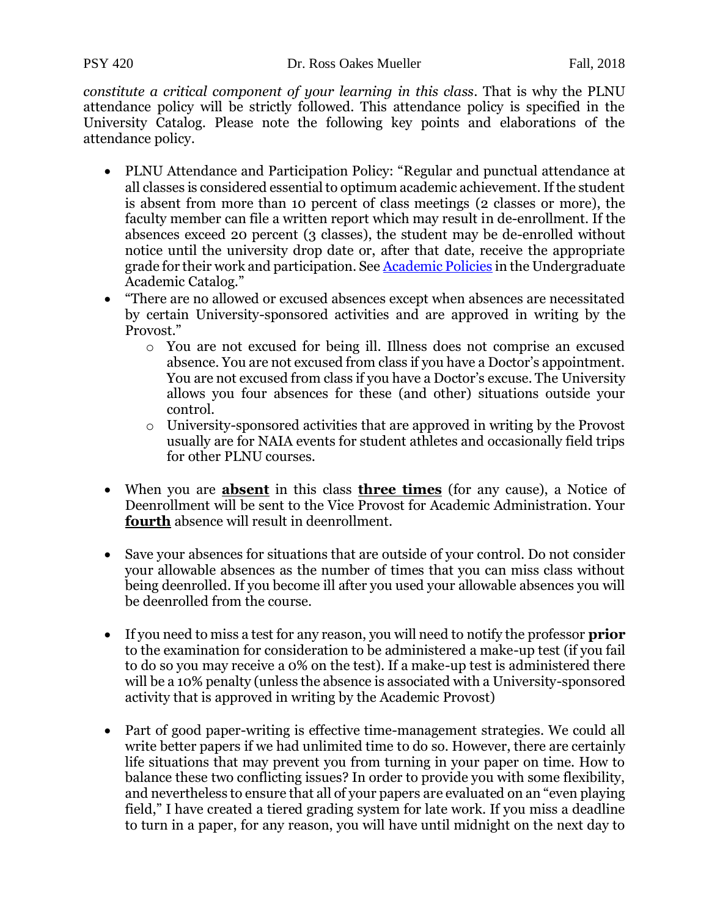*constitute a critical component of your learning in this class*. That is why the PLNU attendance policy will be strictly followed. This attendance policy is specified in the University Catalog. Please note the following key points and elaborations of the attendance policy.

- PLNU Attendance and Participation Policy: "Regular and punctual attendance at all classes is considered essential to optimum academic achievement. If the student is absent from more than 10 percent of class meetings (2 classes or more), the faculty member can file a written report which may result in de-enrollment. If the absences exceed 20 percent (3 classes), the student may be de-enrolled without notice until the university drop date or, after that date, receive the appropriate grade for their work and participation. See **Academic Policies** in the Undergraduate Academic Catalog."
- "There are no allowed or excused absences except when absences are necessitated by certain University-sponsored activities and are approved in writing by the Provost."
	- o You are not excused for being ill. Illness does not comprise an excused absence. You are not excused from class if you have a Doctor's appointment. You are not excused from class if you have a Doctor's excuse. The University allows you four absences for these (and other) situations outside your control.
	- o University-sponsored activities that are approved in writing by the Provost usually are for NAIA events for student athletes and occasionally field trips for other PLNU courses.
- When you are **absent** in this class **three times** (for any cause), a Notice of Deenrollment will be sent to the Vice Provost for Academic Administration. Your **fourth** absence will result in deenrollment.
- Save your absences for situations that are outside of your control. Do not consider your allowable absences as the number of times that you can miss class without being deenrolled. If you become ill after you used your allowable absences you will be deenrolled from the course.
- If you need to miss a test for any reason, you will need to notify the professor **prior** to the examination for consideration to be administered a make-up test (if you fail to do so you may receive a 0% on the test). If a make-up test is administered there will be a 10% penalty (unless the absence is associated with a University-sponsored activity that is approved in writing by the Academic Provost)
- Part of good paper-writing is effective time-management strategies. We could all write better papers if we had unlimited time to do so. However, there are certainly life situations that may prevent you from turning in your paper on time. How to balance these two conflicting issues? In order to provide you with some flexibility, and nevertheless to ensure that all of your papers are evaluated on an "even playing field," I have created a tiered grading system for late work. If you miss a deadline to turn in a paper, for any reason, you will have until midnight on the next day to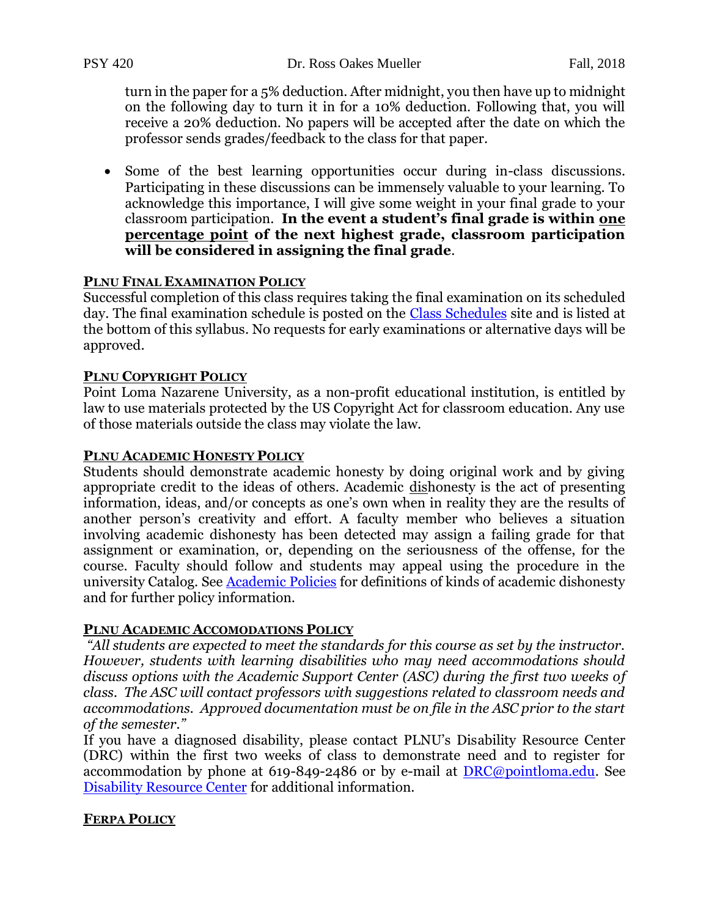PSY 420 Dr. Ross Oakes Mueller Fall, 2018

turn in the paper for a 5% deduction. After midnight, you then have up to midnight on the following day to turn it in for a 10% deduction. Following that, you will receive a 20% deduction. No papers will be accepted after the date on which the professor sends grades/feedback to the class for that paper.

• Some of the best learning opportunities occur during in-class discussions. Participating in these discussions can be immensely valuable to your learning. To acknowledge this importance, I will give some weight in your final grade to your classroom participation. **In the event a student's final grade is within one percentage point of the next highest grade, classroom participation will be considered in assigning the final grade**.

#### **PLNU FINAL EXAMINATION POLICY**

Successful completion of this class requires taking the final examination on its scheduled day. The final examination schedule is posted on the [Class Schedules](http://www.pointloma.edu/experience/academics/class-schedules) site and is listed at the bottom of this syllabus. No requests for early examinations or alternative days will be approved.

#### **PLNU COPYRIGHT POLICY**

Point Loma Nazarene University, as a non-profit educational institution, is entitled by law to use materials protected by the US Copyright Act for classroom education. Any use of those materials outside the class may violate the law.

#### **PLNU ACADEMIC HONESTY POLICY**

Students should demonstrate academic honesty by doing original work and by giving appropriate credit to the ideas of others. Academic dishonesty is the act of presenting information, ideas, and/or concepts as one's own when in reality they are the results of another person's creativity and effort. A faculty member who believes a situation involving academic dishonesty has been detected may assign a failing grade for that assignment or examination, or, depending on the seriousness of the offense, for the course. Faculty should follow and students may appeal using the procedure in the university Catalog. See **Academic Policies** for definitions of kinds of academic dishonesty and for further policy information.

#### **PLNU ACADEMIC ACCOMODATIONS POLICY**

*"All students are expected to meet the standards for this course as set by the instructor. However, students with learning disabilities who may need accommodations should discuss options with the Academic Support Center (ASC) during the first two weeks of class. The ASC will contact professors with suggestions related to classroom needs and accommodations. Approved documentation must be on file in the ASC prior to the start of the semester."* 

If you have a diagnosed disability, please contact PLNU's Disability Resource Center (DRC) within the first two weeks of class to demonstrate need and to register for accommodation by phone at 619-849-2486 or by e-mail at [DRC@pointloma.edu.](mailto:DRC@pointloma.edu) See [Disability Resource Center](http://www.pointloma.edu/experience/offices/administrative-offices/academic-advising-office/disability-resource-center) for additional information.

#### **FERPA POLICY**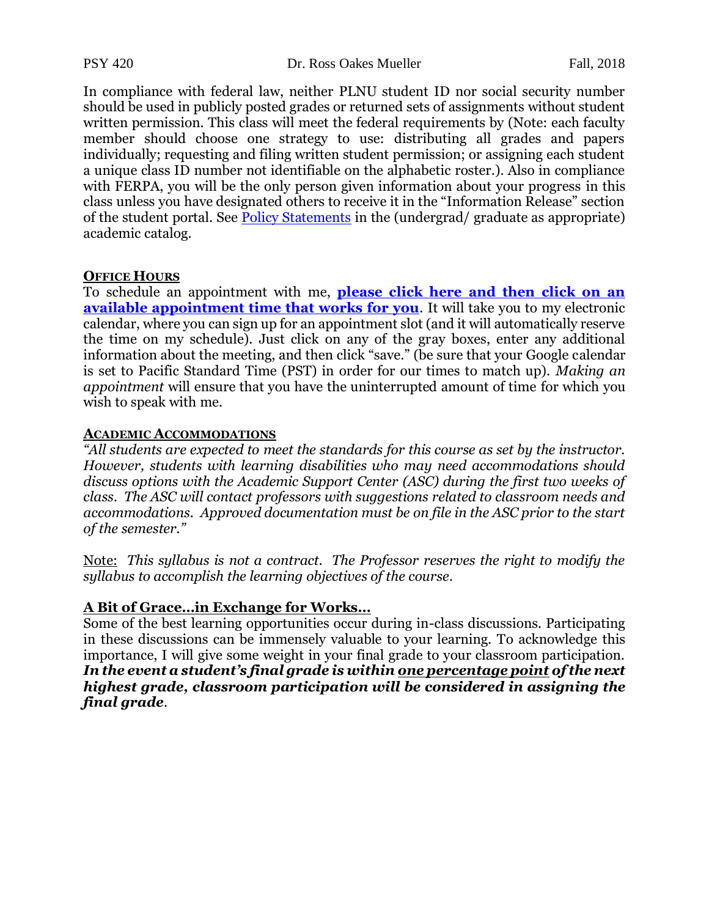PSY 420 Dr. Ross Oakes Mueller Fall, 2018

In compliance with federal law, neither PLNU student ID nor social security number should be used in publicly posted grades or returned sets of assignments without student written permission. This class will meet the federal requirements by (Note: each faculty member should choose one strategy to use: distributing all grades and papers individually; requesting and filing written student permission; or assigning each student a unique class ID number not identifiable on the alphabetic roster.). Also in compliance with FERPA, you will be the only person given information about your progress in this class unless you have designated others to receive it in the "Information Release" section of the student portal. See [Policy Statements](http://www.pointloma.edu/experience/academics/catalogs/undergraduate-catalog/policy-statements) in the (undergrad/ graduate as appropriate) academic catalog.

#### **OFFICE HOURS**

To schedule an appointment with me, **[please click here and then click on an](https://www.google.com/calendar/selfsched?sstoken=UUhnNHJkMkNwcEFUfGRlZmF1bHR8OTFiNjhkZDM0NzRlNTRlMWE5M2E2NjVlYWM1ZjJjZWQ)  [available appointment time that works for you](https://www.google.com/calendar/selfsched?sstoken=UUhnNHJkMkNwcEFUfGRlZmF1bHR8OTFiNjhkZDM0NzRlNTRlMWE5M2E2NjVlYWM1ZjJjZWQ)**. It will take you to my electronic calendar, where you can sign up for an appointment slot (and it will automatically reserve the time on my schedule). Just click on any of the gray boxes, enter any additional information about the meeting, and then click "save." (be sure that your Google calendar is set to Pacific Standard Time (PST) in order for our times to match up). *Making an appointment* will ensure that you have the uninterrupted amount of time for which you wish to speak with me.

#### **ACADEMIC ACCOMMODATIONS**

*"All students are expected to meet the standards for this course as set by the instructor. However, students with learning disabilities who may need accommodations should discuss options with the Academic Support Center (ASC) during the first two weeks of class. The ASC will contact professors with suggestions related to classroom needs and accommodations. Approved documentation must be on file in the ASC prior to the start of the semester."* 

Note: *This syllabus is not a contract. The Professor reserves the right to modify the syllabus to accomplish the learning objectives of the course.*

#### **A Bit of Grace…in Exchange for Works…**

Some of the best learning opportunities occur during in-class discussions. Participating in these discussions can be immensely valuable to your learning. To acknowledge this importance, I will give some weight in your final grade to your classroom participation. *In the event a student's final grade is within one percentage point of the next highest grade, classroom participation will be considered in assigning the final grade.*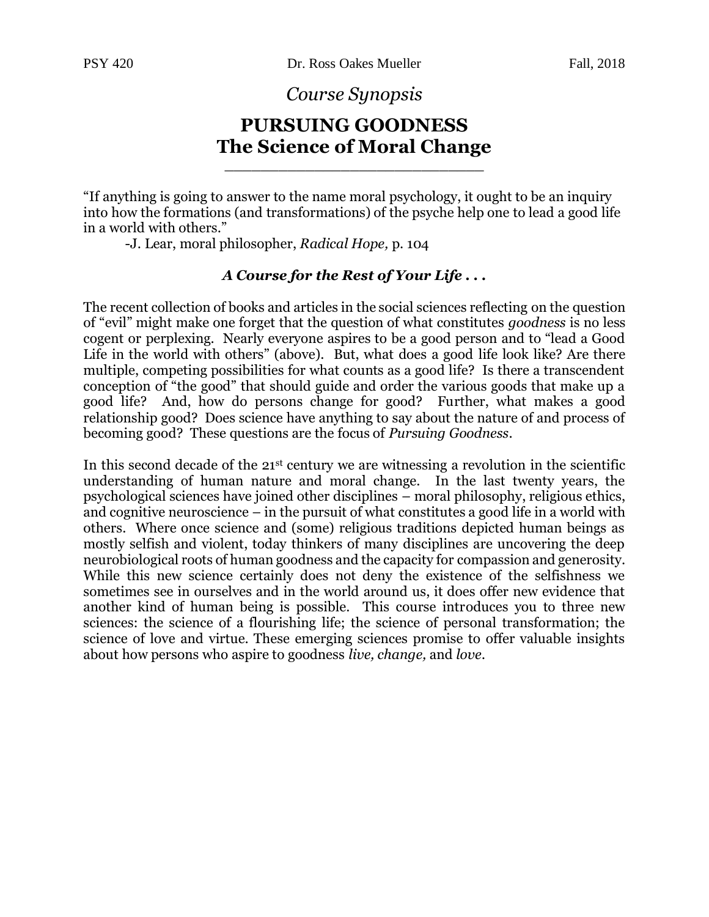*Course Synopsis*

### **PURSUING GOODNESS The Science of Moral Change**

\_\_\_\_\_\_\_\_\_\_\_\_\_\_\_\_\_\_\_\_\_\_\_\_\_\_\_\_\_

"If anything is going to answer to the name moral psychology, it ought to be an inquiry into how the formations (and transformations) of the psyche help one to lead a good life in a world with others."

-J. Lear, moral philosopher, *Radical Hope,* p. 104

#### *A Course for the Rest of Your Life . . .*

The recent collection of books and articles in the social sciences reflecting on the question of "evil" might make one forget that the question of what constitutes *goodness* is no less cogent or perplexing. Nearly everyone aspires to be a good person and to "lead a Good Life in the world with others" (above). But, what does a good life look like? Are there multiple, competing possibilities for what counts as a good life? Is there a transcendent conception of "the good" that should guide and order the various goods that make up a good life? And, how do persons change for good? Further, what makes a good relationship good? Does science have anything to say about the nature of and process of becoming good? These questions are the focus of *Pursuing Goodness*.

In this second decade of the 21<sup>st</sup> century we are witnessing a revolution in the scientific understanding of human nature and moral change. In the last twenty years, the psychological sciences have joined other disciplines – moral philosophy, religious ethics, and cognitive neuroscience – in the pursuit of what constitutes a good life in a world with others. Where once science and (some) religious traditions depicted human beings as mostly selfish and violent, today thinkers of many disciplines are uncovering the deep neurobiological roots of human goodness and the capacity for compassion and generosity. While this new science certainly does not deny the existence of the selfishness we sometimes see in ourselves and in the world around us, it does offer new evidence that another kind of human being is possible. This course introduces you to three new sciences: the science of a flourishing life; the science of personal transformation; the science of love and virtue. These emerging sciences promise to offer valuable insights about how persons who aspire to goodness *live, change,* and *love.*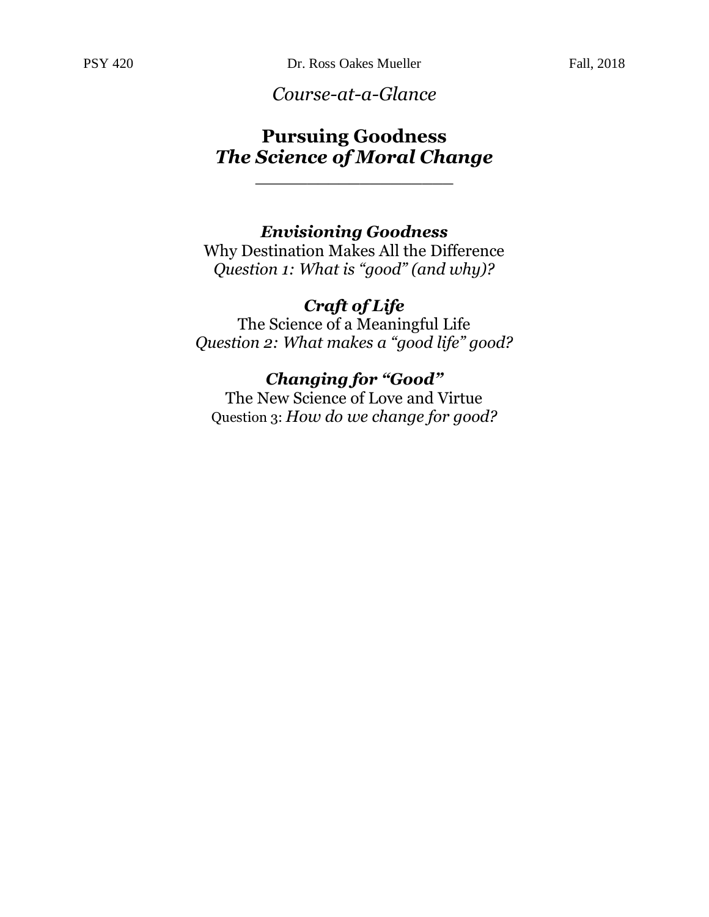*Course-at-a-Glance*

### **Pursuing Goodness** *The Science of Moral Change*

\_\_\_\_\_\_\_\_\_\_\_\_\_\_\_\_\_\_\_

### *Envisioning Goodness*

Why Destination Makes All the Difference *Question 1: What is "good" (and why)?*

### *Craft of Life*

The Science of a Meaningful Life *Question 2: What makes a "good life" good?*

### *Changing for "Good"*

The New Science of Love and Virtue Question 3: *How do we change for good?*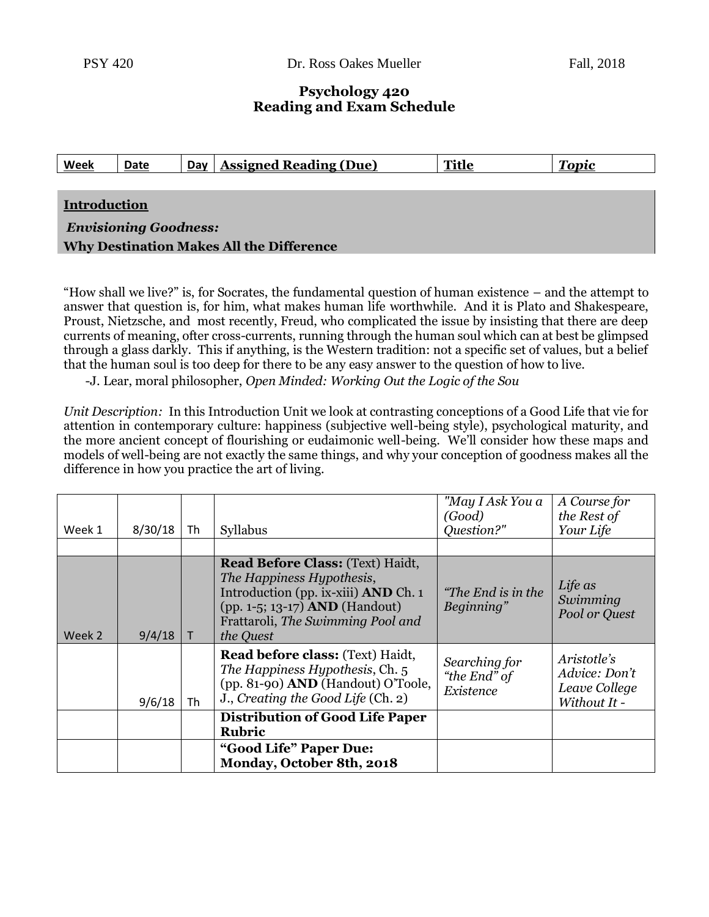#### **Psychology 420 Reading and Exam Schedule**

| <b>Week</b>                                     | Date | Day | <b>Assigned Reading (Due)</b> | <b>Title</b> | <b>Topic</b> |  |  |
|-------------------------------------------------|------|-----|-------------------------------|--------------|--------------|--|--|
|                                                 |      |     |                               |              |              |  |  |
| <b>Introduction</b>                             |      |     |                               |              |              |  |  |
| <b>Envisioning Goodness:</b>                    |      |     |                               |              |              |  |  |
| <b>Why Destination Makes All the Difference</b> |      |     |                               |              |              |  |  |

"How shall we live?" is, for Socrates, the fundamental question of human existence – and the attempt to answer that question is, for him, what makes human life worthwhile. And it is Plato and Shakespeare, Proust, Nietzsche, and most recently, Freud, who complicated the issue by insisting that there are deep currents of meaning, ofter cross-currents, running through the human soul which can at best be glimpsed through a glass darkly. This if anything, is the Western tradition: not a specific set of values, but a belief that the human soul is too deep for there to be any easy answer to the question of how to live.

-J. Lear, moral philosopher, *Open Minded: Working Out the Logic of the Sou*

*Unit Description:* In this Introduction Unit we look at contrasting conceptions of a Good Life that vie for attention in contemporary culture: happiness (subjective well-being style), psychological maturity, and the more ancient concept of flourishing or eudaimonic well-being. We'll consider how these maps and models of well-being are not exactly the same things, and why your conception of goodness makes all the difference in how you practice the art of living.

| Week 1 | 8/30/18 | Th     | Syllabus                                                                                                                                                                                                       | "May I Ask You a<br>(Good)<br>Question?"   | A Course for<br>the Rest of<br>Your Life                      |
|--------|---------|--------|----------------------------------------------------------------------------------------------------------------------------------------------------------------------------------------------------------------|--------------------------------------------|---------------------------------------------------------------|
|        |         |        |                                                                                                                                                                                                                |                                            |                                                               |
| Week 2 | 9/4/18  | $\top$ | <b>Read Before Class: (Text) Haidt,</b><br>The Happiness Hypothesis,<br>Introduction (pp. ix-xiii) <b>AND</b> Ch. 1<br>(pp. 1-5; 13-17) <b>AND</b> (Handout)<br>Frattaroli, The Swimming Pool and<br>the Quest | <i>"The End is in the</i><br>Beginning"    | Life as<br>Swimming<br>Pool or Quest                          |
|        | 9/6/18  | Th     | <b>Read before class: (Text) Haidt,</b><br>The Happiness Hypothesis, Ch. 5<br>(pp. 81-90) AND (Handout) O'Toole,<br>J., Creating the Good Life (Ch. 2)                                                         | Searching for<br>"the End" of<br>Existence | Aristotle's<br>Advice: Don't<br>Leave College<br>Without It - |
|        |         |        | <b>Distribution of Good Life Paper</b><br><b>Rubric</b>                                                                                                                                                        |                                            |                                                               |
|        |         |        | "Good Life" Paper Due:<br>Monday, October 8th, 2018                                                                                                                                                            |                                            |                                                               |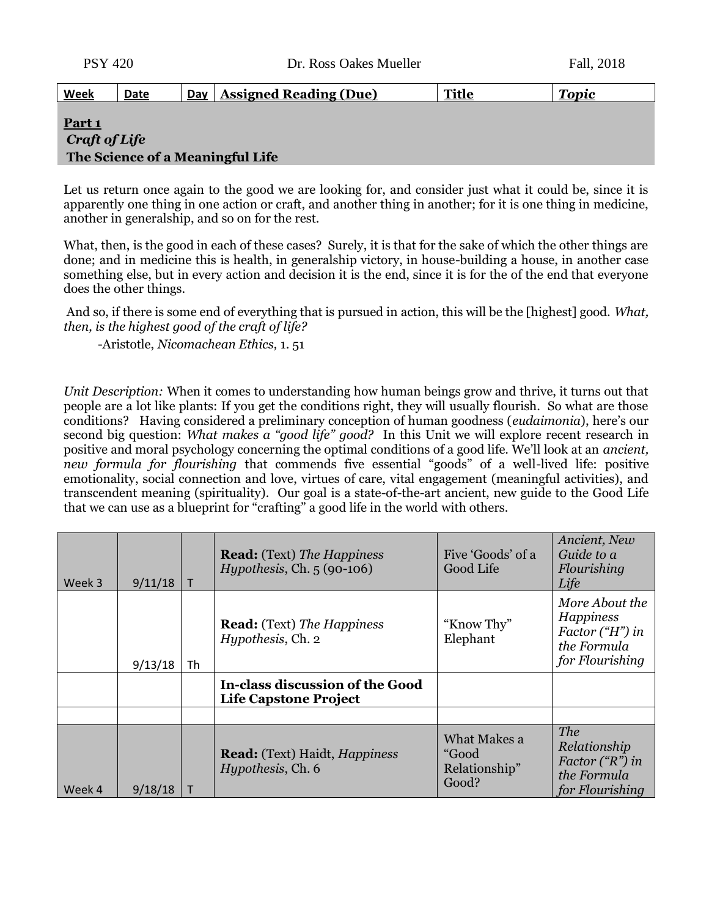| <u>Week</u>       | Date | Day | <b>Assigned Reading (Due)</b> | <b>Title</b> | <b>Topic</b> |
|-------------------|------|-----|-------------------------------|--------------|--------------|
|                   |      |     |                               |              |              |
| Part <sub>1</sub> |      |     |                               |              |              |
| Craft of Life     |      |     |                               |              |              |

#### **The Science of a Meaningful Life**

Let us return once again to the good we are looking for, and consider just what it could be, since it is apparently one thing in one action or craft, and another thing in another; for it is one thing in medicine, another in generalship, and so on for the rest.

What, then, is the good in each of these cases? Surely, it is that for the sake of which the other things are done; and in medicine this is health, in generalship victory, in house-building a house, in another case something else, but in every action and decision it is the end, since it is for the of the end that everyone does the other things.

And so, if there is some end of everything that is pursued in action, this will be the [highest] good. *What, then, is the highest good of the craft of life?*

-Aristotle, *Nicomachean Ethics,* 1. 51

*Unit Description:* When it comes to understanding how human beings grow and thrive, it turns out that people are a lot like plants: If you get the conditions right, they will usually flourish. So what are those conditions? Having considered a preliminary conception of human goodness (*eudaimonia*), here's our second big question: *What makes a "good life" good?* In this Unit we will explore recent research in positive and moral psychology concerning the optimal conditions of a good life. We'll look at an *ancient, new formula for flourishing* that commends five essential "goods" of a well-lived life: positive emotionality, social connection and love, virtues of care, vital engagement (meaningful activities), and transcendent meaning (spirituality).Our goal is a state-of-the-art ancient, new guide to the Good Life that we can use as a blueprint for "crafting" a good life in the world with others.

| Week 3 | 9/11/18 |    | <b>Read:</b> (Text) The Happiness<br>Hypothesis, Ch. $5(90-106)$         | Five 'Goods' of a<br>Good Life                  | Ancient, New<br>Guide to a<br>Flourishing<br>Life                                                |
|--------|---------|----|--------------------------------------------------------------------------|-------------------------------------------------|--------------------------------------------------------------------------------------------------|
|        | 9/13/18 | Th | <b>Read:</b> (Text) The Happiness<br>Hypothesis, Ch. 2                   | "Know Thy"<br>Elephant                          | More About the<br><b>Happiness</b><br>Factor $("H")$ in<br>the Formula<br>for Flourishing        |
|        |         |    | In-class discussion of the Good<br><b>Life Capstone Project</b>          |                                                 |                                                                                                  |
|        |         |    |                                                                          |                                                 |                                                                                                  |
| Week 4 | 9/18/18 |    | <b>Read:</b> (Text) Haidt, <i>Happiness</i><br><i>Hypothesis</i> , Ch. 6 | What Makes a<br>"Good<br>Relationship"<br>Good? | <b>The</b><br>Relationship<br>Factor $({}^{\alpha}R^{\nu})$ in<br>the Formula<br>for Flourishing |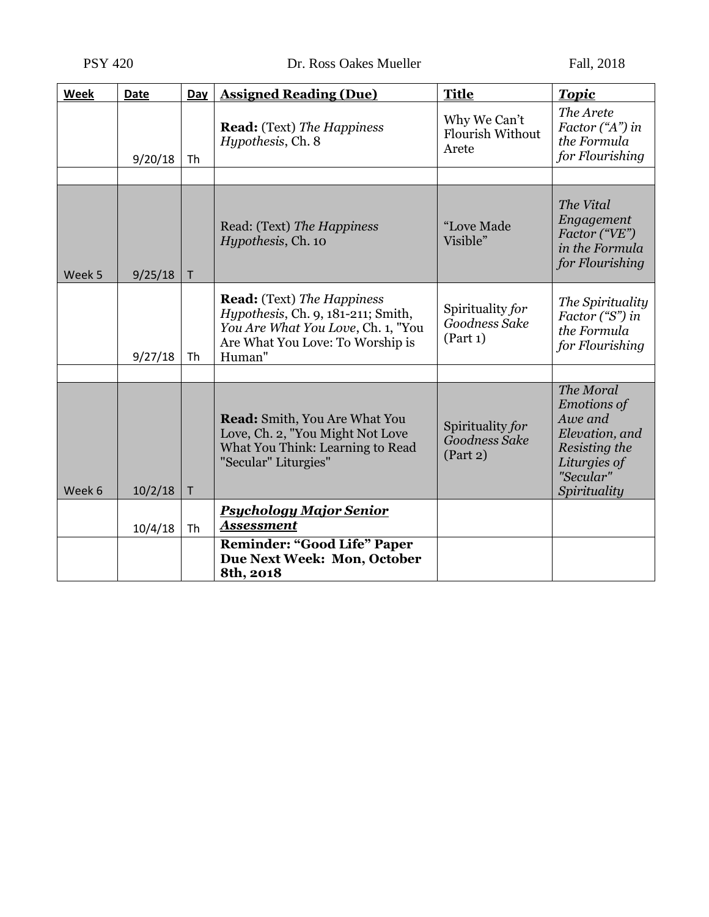| Week   | <b>Date</b> | Day          | <b>Assigned Reading (Due)</b>                                                                                                                               | <b>Title</b>                                     | <b>Topic</b>                                                                                                               |
|--------|-------------|--------------|-------------------------------------------------------------------------------------------------------------------------------------------------------------|--------------------------------------------------|----------------------------------------------------------------------------------------------------------------------------|
|        | 9/20/18     | Th           | <b>Read:</b> (Text) The Happiness<br>Hypothesis, Ch. 8                                                                                                      | Why We Can't<br><b>Flourish Without</b><br>Arete | The Arete<br>Factor $(4^n)$ in<br>the Formula<br>for Flourishing                                                           |
|        |             |              |                                                                                                                                                             |                                                  |                                                                                                                            |
| Week 5 | 9/25/18     | T            | Read: (Text) The Happiness<br>Hypothesis, Ch. 10                                                                                                            | "Love Made<br>Visible"                           | The Vital<br>Engagement<br>Factor ("VE")<br>in the Formula<br>for Flourishing                                              |
|        | 9/27/18     | Th           | <b>Read:</b> (Text) The Happiness<br>Hypothesis, Ch. 9, 181-211; Smith,<br>You Are What You Love, Ch. 1, "You<br>Are What You Love: To Worship is<br>Human" | Spirituality for<br>Goodness Sake<br>(Part 1)    | The Spirituality<br>Factor ("S") in<br>the Formula<br>for Flourishing                                                      |
|        |             |              |                                                                                                                                                             |                                                  |                                                                                                                            |
| Week 6 | 10/2/18     | $\mathsf{T}$ | <b>Read:</b> Smith, You Are What You<br>Love, Ch. 2, "You Might Not Love<br>What You Think: Learning to Read<br>"Secular" Liturgies"                        | Spirituality for<br>Goodness Sake<br>(Part 2)    | The Moral<br><b>Emotions of</b><br>Awe and<br>Elevation, and<br>Resisting the<br>Liturgies of<br>"Secular"<br>Spirituality |
|        |             |              | <b>Psychology Major Senior</b>                                                                                                                              |                                                  |                                                                                                                            |
|        | 10/4/18     | <b>Th</b>    | <b>Assessment</b>                                                                                                                                           |                                                  |                                                                                                                            |
|        |             |              | <b>Reminder: "Good Life" Paper</b><br>Due Next Week: Mon, October<br>8th, 2018                                                                              |                                                  |                                                                                                                            |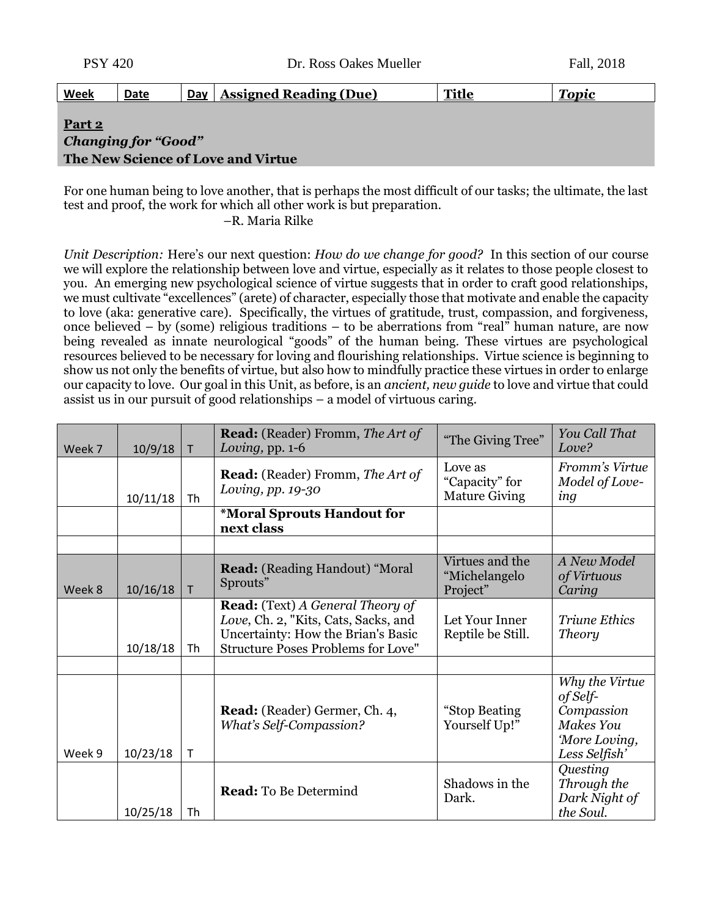| <b>PSY 420</b> |      |     | Dr. Ross Oakes Mueller        |              | Fall, 2018   |
|----------------|------|-----|-------------------------------|--------------|--------------|
| <u>Week</u>    | Date | Day | <b>Assigned Reading (Due)</b> | <b>Title</b> | <b>Topic</b> |
| Part 2         |      |     |                               |              |              |

# *Changing for "Good"* **The New Science of Love and Virtue**

For one human being to love another, that is perhaps the most difficult of our tasks; the ultimate, the last test and proof, the work for which all other work is but preparation.

–R. Maria Rilke

*Unit Description:* Here's our next question: *How do we change for good?* In this section of our course we will explore the relationship between love and virtue, especially as it relates to those people closest to you.An emerging new psychological science of virtue suggests that in order to craft good relationships, we must cultivate "excellences" (arete) of character, especially those that motivate and enable the capacity to love (aka: generative care). Specifically, the virtues of gratitude, trust, compassion, and forgiveness, once believed – by (some) religious traditions – to be aberrations from "real" human nature, are now being revealed as innate neurological "goods" of the human being. These virtues are psychological resources believed to be necessary for loving and flourishing relationships. Virtue science is beginning to show us not only the benefits of virtue, but also how to mindfully practice these virtues in order to enlarge our capacity to love. Our goal in this Unit, as before, is an *ancient, new guide* to love and virtue that could assist us in our pursuit of good relationships – a model of virtuous caring.

| Week 7 | 10/9/18  | $\mathsf{T}$ | <b>Read:</b> (Reader) Fromm, The Art of<br>Loving, pp. $1-6$                                                                                                       | "The Giving Tree"                                 | You Call That<br>Love?                                                                  |
|--------|----------|--------------|--------------------------------------------------------------------------------------------------------------------------------------------------------------------|---------------------------------------------------|-----------------------------------------------------------------------------------------|
|        | 10/11/18 | Th           | <b>Read:</b> (Reader) Fromm, The Art of<br>Loving, pp. 19-30                                                                                                       | Love as<br>"Capacity" for<br><b>Mature Giving</b> | Fromm's Virtue<br>Model of Love-<br>ing                                                 |
|        |          |              | *Moral Sprouts Handout for<br>next class                                                                                                                           |                                                   |                                                                                         |
|        |          |              |                                                                                                                                                                    |                                                   |                                                                                         |
| Week 8 | 10/16/18 | T            | <b>Read:</b> (Reading Handout) "Moral<br>Sprouts"                                                                                                                  | Virtues and the<br>"Michelangelo<br>Project"      | A New Model<br>of Virtuous<br>Caring                                                    |
|        | 10/18/18 | Th           | <b>Read:</b> (Text) A General Theory of<br>Love, Ch. 2, "Kits, Cats, Sacks, and<br>Uncertainty: How the Brian's Basic<br><b>Structure Poses Problems for Love"</b> | Let Your Inner<br>Reptile be Still.               | <b>Triune Ethics</b><br><b>Theory</b>                                                   |
|        |          |              |                                                                                                                                                                    |                                                   |                                                                                         |
| Week 9 | 10/23/18 | $\mathsf{T}$ | Read: (Reader) Germer, Ch. 4,<br><b>What's Self-Compassion?</b>                                                                                                    | "Stop Beating<br>Yourself Up!"                    | Why the Virtue<br>of Self-<br>Compassion<br>Makes You<br>'More Loving,<br>Less Selfish' |
|        | 10/25/18 | Th           | <b>Read:</b> To Be Determind                                                                                                                                       | Shadows in the<br>Dark.                           | Questing<br>Through the<br>Dark Night of<br>the Soul.                                   |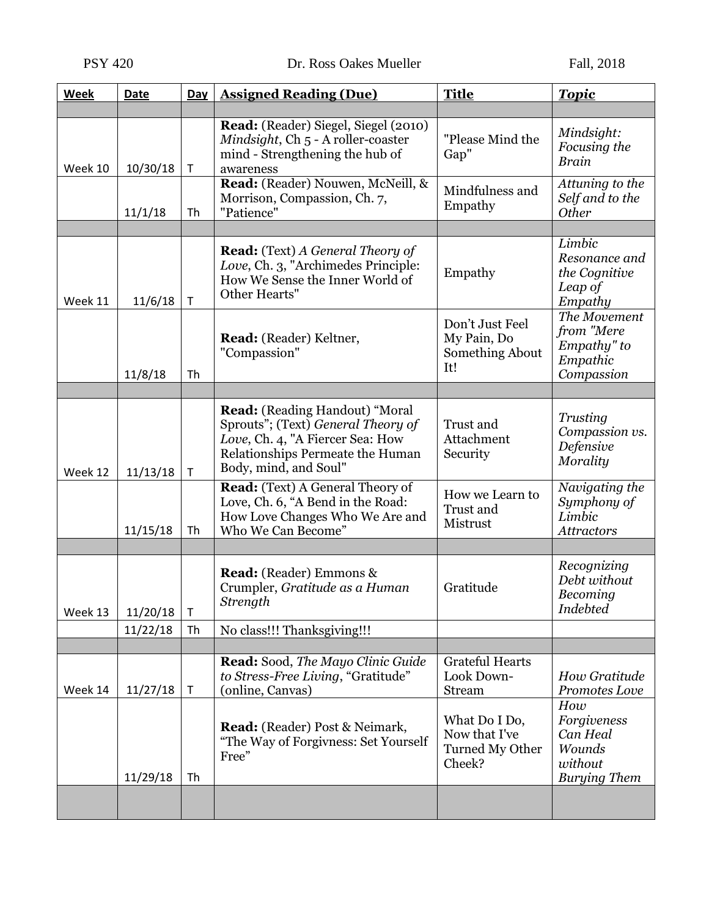| Week    | Date     | Day          | <b>Assigned Reading (Due)</b>                                                                                                                                                | <b>Title</b>                                                | <b>Topic</b>                                                        |
|---------|----------|--------------|------------------------------------------------------------------------------------------------------------------------------------------------------------------------------|-------------------------------------------------------------|---------------------------------------------------------------------|
|         |          |              |                                                                                                                                                                              |                                                             |                                                                     |
| Week 10 | 10/30/18 | T            | <b>Read:</b> (Reader) Siegel, Siegel (2010)<br>Mindsight, Ch 5 - A roller-coaster<br>mind - Strengthening the hub of<br>awareness                                            | "Please Mind the<br>Gap"                                    | Mindsight:<br>Focusing the<br><b>Brain</b>                          |
|         | 11/1/18  | Th           | Read: (Reader) Nouwen, McNeill, &<br>Morrison, Compassion, Ch. 7,<br>"Patience"                                                                                              | Mindfulness and<br>Empathy                                  | Attuning to the<br>Self and to the<br>Other                         |
|         |          |              |                                                                                                                                                                              |                                                             |                                                                     |
| Week 11 | 11/6/18  | T            | <b>Read:</b> (Text) A General Theory of<br>Love, Ch. 3, "Archimedes Principle:<br>How We Sense the Inner World of<br>Other Hearts"                                           | Empathy                                                     | Limbic<br>Resonance and<br>the Cognitive<br>Leap of<br>Empathy      |
|         | 11/8/18  | Th           | Read: (Reader) Keltner,<br>"Compassion"                                                                                                                                      | Don't Just Feel<br>My Pain, Do<br>Something About<br>It!    | The Movement<br>from "Mere<br>Empathy" to<br>Empathic<br>Compassion |
|         |          |              |                                                                                                                                                                              |                                                             |                                                                     |
| Week 12 | 11/13/18 | T            | <b>Read:</b> (Reading Handout) "Moral<br>Sprouts"; (Text) General Theory of<br>Love, Ch. 4, "A Fiercer Sea: How<br>Relationships Permeate the Human<br>Body, mind, and Soul" | Trust and<br>Attachment<br>Security                         | Trusting<br>Compassion vs.<br>Defensive<br>Morality                 |
|         | 11/15/18 | Th           | Read: (Text) A General Theory of<br>Love, Ch. 6, "A Bend in the Road:<br>How Love Changes Who We Are and<br>Who We Can Become"                                               | How we Learn to<br>Trust and<br>Mistrust                    | Navigating the<br>Symphony of<br>Limbic<br><b>Attractors</b>        |
|         |          |              |                                                                                                                                                                              |                                                             |                                                                     |
| Week 13 | 11/20/18 | $\mathsf{T}$ | <b>Read:</b> (Reader) Emmons &<br>Crumpler, Gratitude as a Human<br>Strength                                                                                                 | Gratitude                                                   | Recognizing<br>Debt without<br>Becoming<br><b>Indebted</b>          |
|         | 11/22/18 | Th           | No class!!! Thanksgiving!!!                                                                                                                                                  |                                                             |                                                                     |
|         |          |              |                                                                                                                                                                              |                                                             |                                                                     |
| Week 14 | 11/27/18 | $\mathsf T$  | Read: Sood, The Mayo Clinic Guide<br>to Stress-Free Living, "Gratitude"<br>(online, Canvas)                                                                                  | <b>Grateful Hearts</b><br>Look Down-<br>Stream              | How Gratitude<br>Promotes Love<br>How                               |
|         | 11/29/18 | Th           | Read: (Reader) Post & Neimark,<br>"The Way of Forgivness: Set Yourself<br>Free"                                                                                              | What Do I Do,<br>Now that I've<br>Turned My Other<br>Cheek? | Forgiveness<br>Can Heal<br>Wounds<br>without<br><b>Burying Them</b> |
|         |          |              |                                                                                                                                                                              |                                                             |                                                                     |